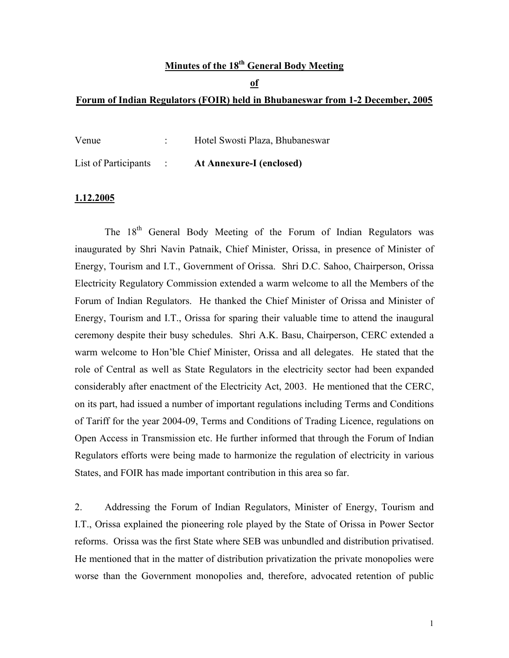### **Minutes of the 18th General Body Meeting**

#### **of**

#### **Forum of Indian Regulators (FOIR) held in Bhubaneswar from 1-2 December, 2005**

| Venue                | Hotel Swosti Plaza, Bhubaneswar |
|----------------------|---------------------------------|
| List of Participants | <b>At Annexure-I (enclosed)</b> |

#### **1.12.2005**

The 18<sup>th</sup> General Body Meeting of the Forum of Indian Regulators was inaugurated by Shri Navin Patnaik, Chief Minister, Orissa, in presence of Minister of Energy, Tourism and I.T., Government of Orissa. Shri D.C. Sahoo, Chairperson, Orissa Electricity Regulatory Commission extended a warm welcome to all the Members of the Forum of Indian Regulators. He thanked the Chief Minister of Orissa and Minister of Energy, Tourism and I.T., Orissa for sparing their valuable time to attend the inaugural ceremony despite their busy schedules. Shri A.K. Basu, Chairperson, CERC extended a warm welcome to Hon'ble Chief Minister, Orissa and all delegates. He stated that the role of Central as well as State Regulators in the electricity sector had been expanded considerably after enactment of the Electricity Act, 2003. He mentioned that the CERC, on its part, had issued a number of important regulations including Terms and Conditions of Tariff for the year 2004-09, Terms and Conditions of Trading Licence, regulations on Open Access in Transmission etc. He further informed that through the Forum of Indian Regulators efforts were being made to harmonize the regulation of electricity in various States, and FOIR has made important contribution in this area so far.

2. Addressing the Forum of Indian Regulators, Minister of Energy, Tourism and I.T., Orissa explained the pioneering role played by the State of Orissa in Power Sector reforms. Orissa was the first State where SEB was unbundled and distribution privatised. He mentioned that in the matter of distribution privatization the private monopolies were worse than the Government monopolies and, therefore, advocated retention of public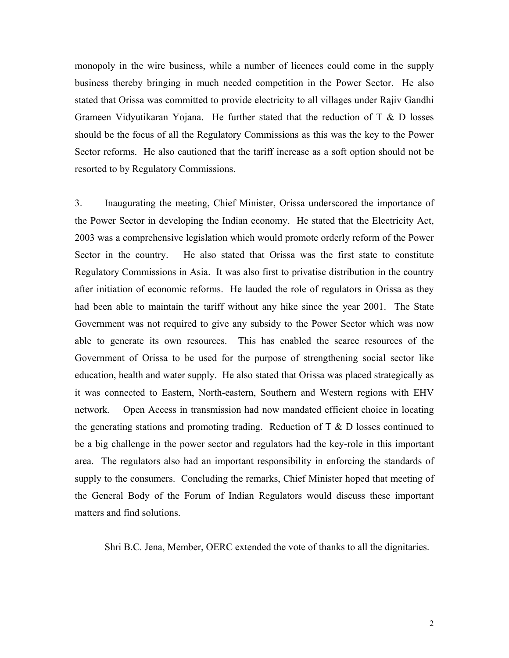monopoly in the wire business, while a number of licences could come in the supply business thereby bringing in much needed competition in the Power Sector. He also stated that Orissa was committed to provide electricity to all villages under Rajiv Gandhi Grameen Vidyutikaran Yojana. He further stated that the reduction of  $T \& D$  losses should be the focus of all the Regulatory Commissions as this was the key to the Power Sector reforms. He also cautioned that the tariff increase as a soft option should not be resorted to by Regulatory Commissions.

3. Inaugurating the meeting, Chief Minister, Orissa underscored the importance of the Power Sector in developing the Indian economy. He stated that the Electricity Act, 2003 was a comprehensive legislation which would promote orderly reform of the Power Sector in the country. He also stated that Orissa was the first state to constitute Regulatory Commissions in Asia. It was also first to privatise distribution in the country after initiation of economic reforms. He lauded the role of regulators in Orissa as they had been able to maintain the tariff without any hike since the year 2001. The State Government was not required to give any subsidy to the Power Sector which was now able to generate its own resources. This has enabled the scarce resources of the Government of Orissa to be used for the purpose of strengthening social sector like education, health and water supply. He also stated that Orissa was placed strategically as it was connected to Eastern, North-eastern, Southern and Western regions with EHV network. Open Access in transmission had now mandated efficient choice in locating the generating stations and promoting trading. Reduction of  $T \& D$  losses continued to be a big challenge in the power sector and regulators had the key-role in this important area. The regulators also had an important responsibility in enforcing the standards of supply to the consumers. Concluding the remarks, Chief Minister hoped that meeting of the General Body of the Forum of Indian Regulators would discuss these important matters and find solutions.

Shri B.C. Jena, Member, OERC extended the vote of thanks to all the dignitaries.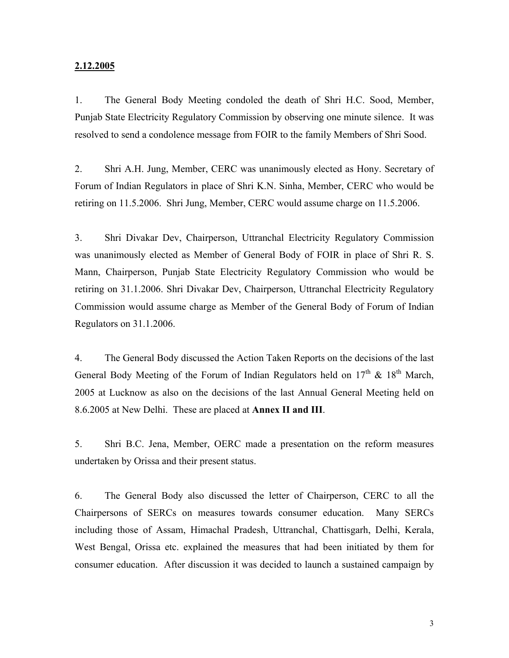#### **2.12.2005**

1. The General Body Meeting condoled the death of Shri H.C. Sood, Member, Punjab State Electricity Regulatory Commission by observing one minute silence. It was resolved to send a condolence message from FOIR to the family Members of Shri Sood.

2. Shri A.H. Jung, Member, CERC was unanimously elected as Hony. Secretary of Forum of Indian Regulators in place of Shri K.N. Sinha, Member, CERC who would be retiring on 11.5.2006. Shri Jung, Member, CERC would assume charge on 11.5.2006.

3. Shri Divakar Dev, Chairperson, Uttranchal Electricity Regulatory Commission was unanimously elected as Member of General Body of FOIR in place of Shri R. S. Mann, Chairperson, Punjab State Electricity Regulatory Commission who would be retiring on 31.1.2006. Shri Divakar Dev, Chairperson, Uttranchal Electricity Regulatory Commission would assume charge as Member of the General Body of Forum of Indian Regulators on 31.1.2006.

4. The General Body discussed the Action Taken Reports on the decisions of the last General Body Meeting of the Forum of Indian Regulators held on  $17<sup>th</sup>$  &  $18<sup>th</sup>$  March, 2005 at Lucknow as also on the decisions of the last Annual General Meeting held on 8.6.2005 at New Delhi. These are placed at **Annex II and III**.

5. Shri B.C. Jena, Member, OERC made a presentation on the reform measures undertaken by Orissa and their present status.

6. The General Body also discussed the letter of Chairperson, CERC to all the Chairpersons of SERCs on measures towards consumer education. Many SERCs including those of Assam, Himachal Pradesh, Uttranchal, Chattisgarh, Delhi, Kerala, West Bengal, Orissa etc. explained the measures that had been initiated by them for consumer education. After discussion it was decided to launch a sustained campaign by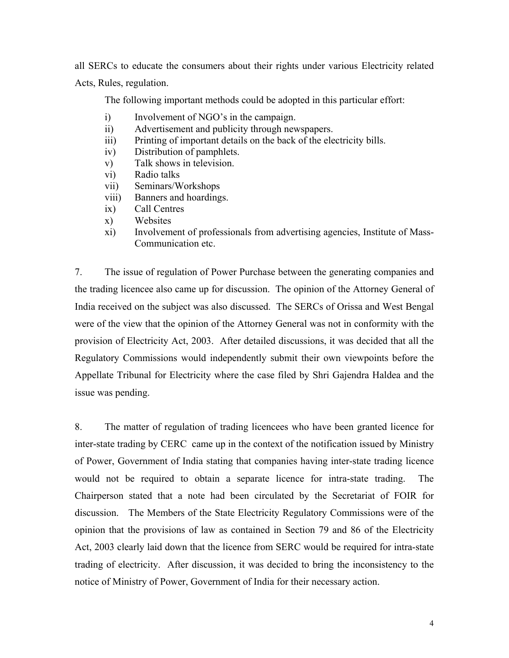all SERCs to educate the consumers about their rights under various Electricity related Acts, Rules, regulation.

The following important methods could be adopted in this particular effort:

- i) Involvement of NGO's in the campaign.
- ii) Advertisement and publicity through newspapers.
- iii) Printing of important details on the back of the electricity bills.
- iv) Distribution of pamphlets.
- v) Talk shows in television.
- vi) Radio talks
- vii) Seminars/Workshops
- viii) Banners and hoardings.
- ix) Call Centres
- x) Websites
- xi) Involvement of professionals from advertising agencies, Institute of Mass-Communication etc.

7. The issue of regulation of Power Purchase between the generating companies and the trading licencee also came up for discussion. The opinion of the Attorney General of India received on the subject was also discussed. The SERCs of Orissa and West Bengal were of the view that the opinion of the Attorney General was not in conformity with the provision of Electricity Act, 2003. After detailed discussions, it was decided that all the Regulatory Commissions would independently submit their own viewpoints before the Appellate Tribunal for Electricity where the case filed by Shri Gajendra Haldea and the issue was pending.

8. The matter of regulation of trading licencees who have been granted licence for inter-state trading by CERC came up in the context of the notification issued by Ministry of Power, Government of India stating that companies having inter-state trading licence would not be required to obtain a separate licence for intra-state trading. The Chairperson stated that a note had been circulated by the Secretariat of FOIR for discussion. The Members of the State Electricity Regulatory Commissions were of the opinion that the provisions of law as contained in Section 79 and 86 of the Electricity Act, 2003 clearly laid down that the licence from SERC would be required for intra-state trading of electricity. After discussion, it was decided to bring the inconsistency to the notice of Ministry of Power, Government of India for their necessary action.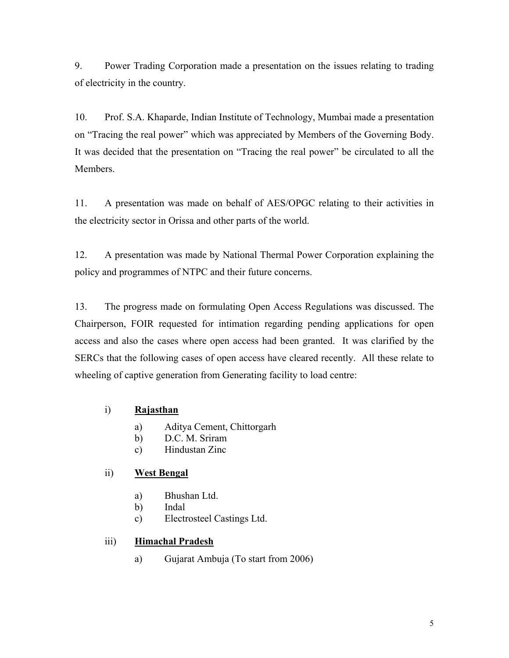9. Power Trading Corporation made a presentation on the issues relating to trading of electricity in the country.

10. Prof. S.A. Khaparde, Indian Institute of Technology, Mumbai made a presentation on "Tracing the real power" which was appreciated by Members of the Governing Body. It was decided that the presentation on "Tracing the real power" be circulated to all the Members.

11. A presentation was made on behalf of AES/OPGC relating to their activities in the electricity sector in Orissa and other parts of the world.

12. A presentation was made by National Thermal Power Corporation explaining the policy and programmes of NTPC and their future concerns.

13. The progress made on formulating Open Access Regulations was discussed. The Chairperson, FOIR requested for intimation regarding pending applications for open access and also the cases where open access had been granted. It was clarified by the SERCs that the following cases of open access have cleared recently. All these relate to wheeling of captive generation from Generating facility to load centre:

### i) **Rajasthan**

- a) Aditya Cement, Chittorgarh
- b) D.C. M. Sriram
- c) Hindustan Zinc

### ii) **West Bengal**

- a) Bhushan Ltd.
- b) Indal
- c) Electrosteel Castings Ltd.

### iii) **Himachal Pradesh**

a) Gujarat Ambuja (To start from 2006)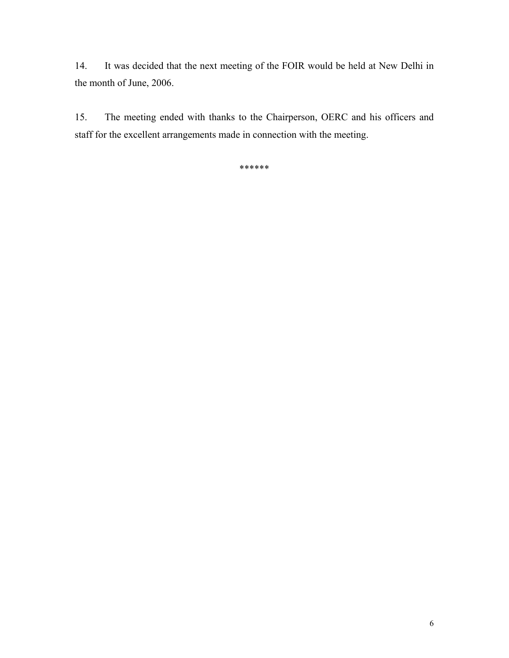14. It was decided that the next meeting of the FOIR would be held at New Delhi in the month of June, 2006.

15. The meeting ended with thanks to the Chairperson, OERC and his officers and staff for the excellent arrangements made in connection with the meeting.

\*\*\*\*\*\*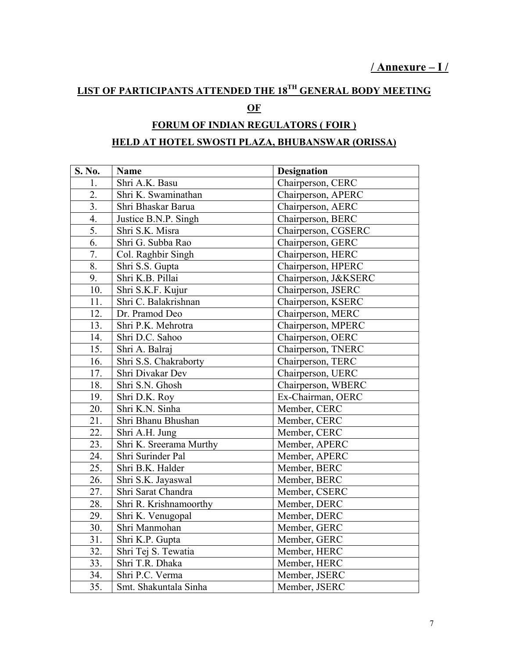# **LIST OF PARTICIPANTS ATTENDED THE 18TH GENERAL BODY MEETING**

# **OF**

# **FORUM OF INDIAN REGULATORS ( FOIR )**

# **HELD AT HOTEL SWOSTI PLAZA, BHUBANSWAR (ORISSA)**

| S. No.           | Name                    | <b>Designation</b>   |
|------------------|-------------------------|----------------------|
| 1.               | Shri A.K. Basu          | Chairperson, CERC    |
| 2.               | Shri K. Swaminathan     | Chairperson, APERC   |
| 3.               | Shri Bhaskar Barua      | Chairperson, AERC    |
| $\overline{4}$ . | Justice B.N.P. Singh    | Chairperson, BERC    |
| $\overline{5}$ . | Shri S.K. Misra         | Chairperson, CGSERC  |
| 6.               | Shri G. Subba Rao       | Chairperson, GERC    |
| 7.               | Col. Raghbir Singh      | Chairperson, HERC    |
| 8.               | Shri S.S. Gupta         | Chairperson, HPERC   |
| $\overline{9}$ . | Shri K.B. Pillai        | Chairperson, J&KSERC |
| 10.              | Shri S.K.F. Kujur       | Chairperson, JSERC   |
| 11.              | Shri C. Balakrishnan    | Chairperson, KSERC   |
| 12.              | Dr. Pramod Deo          | Chairperson, MERC    |
| 13.              | Shri P.K. Mehrotra      | Chairperson, MPERC   |
| 14.              | Shri D.C. Sahoo         | Chairperson, OERC    |
| 15.              | Shri A. Balraj          | Chairperson, TNERC   |
| 16.              | Shri S.S. Chakraborty   | Chairperson, TERC    |
| 17.              | Shri Divakar Dev        | Chairperson, UERC    |
| 18.              | Shri S.N. Ghosh         | Chairperson, WBERC   |
| 19.              | Shri D.K. Roy           | Ex-Chairman, OERC    |
| 20.              | Shri K.N. Sinha         | Member, CERC         |
| 21.              | Shri Bhanu Bhushan      | Member, CERC         |
| 22.              | Shri A.H. Jung          | Member, CERC         |
| 23.              | Shri K. Sreerama Murthy | Member, APERC        |
| 24.              | Shri Surinder Pal       | Member, APERC        |
| 25.              | Shri B.K. Halder        | Member, BERC         |
| 26.              | Shri S.K. Jayaswal      | Member, BERC         |
| 27.              | Shri Sarat Chandra      | Member, CSERC        |
| 28.              | Shri R. Krishnamoorthy  | Member, DERC         |
| 29.              | Shri K. Venugopal       | Member, DERC         |
| 30.              | Shri Manmohan           | Member, GERC         |
| 31.              | Shri K.P. Gupta         | Member, GERC         |
| 32.              | Shri Tej S. Tewatia     | Member, HERC         |
| 33.              | Shri T.R. Dhaka         | Member, HERC         |
| 34.              | Shri P.C. Verma         | Member, JSERC        |
| 35.              | Smt. Shakuntala Sinha   | Member, JSERC        |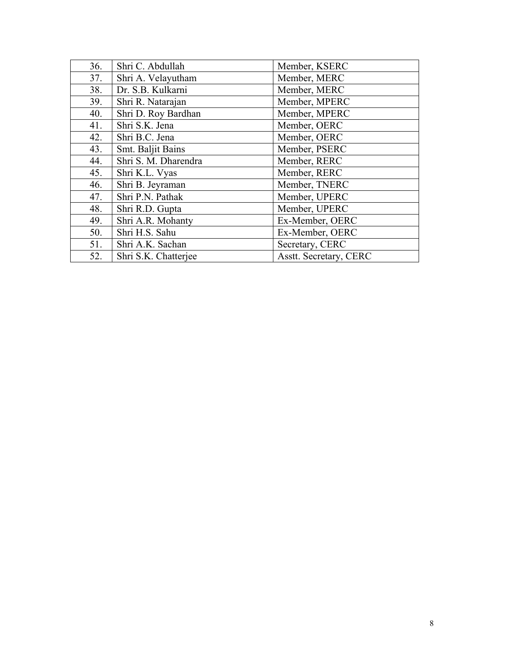| 36. | Shri C. Abdullah     | Member, KSERC                 |
|-----|----------------------|-------------------------------|
| 37. | Shri A. Velayutham   | Member, MERC                  |
| 38. | Dr. S.B. Kulkarni    | Member, MERC                  |
| 39. | Shri R. Natarajan    | Member, MPERC                 |
| 40. | Shri D. Roy Bardhan  | Member, MPERC                 |
| 41. | Shri S.K. Jena       | Member, OERC                  |
| 42. | Shri B.C. Jena       | Member, OERC                  |
| 43. | Smt. Baljit Bains    | Member, PSERC                 |
| 44. | Shri S. M. Dharendra | Member, RERC                  |
| 45. | Shri K.L. Vyas       | Member, RERC                  |
| 46. | Shri B. Jeyraman     | Member, TNERC                 |
| 47. | Shri P.N. Pathak     | Member, UPERC                 |
| 48. | Shri R.D. Gupta      | Member, UPERC                 |
| 49. | Shri A.R. Mohanty    | Ex-Member, OERC               |
| 50. | Shri H.S. Sahu       | Ex-Member, OERC               |
| 51. | Shri A.K. Sachan     | Secretary, CERC               |
| 52. | Shri S.K. Chatterjee | <b>Asstt. Secretary, CERC</b> |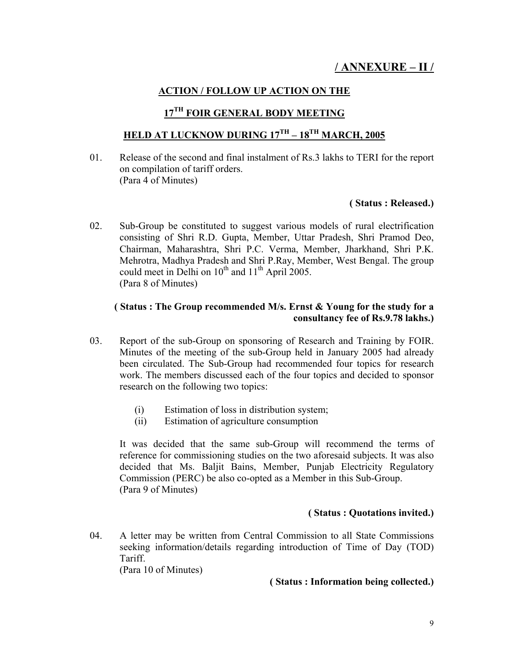### **ACTION / FOLLOW UP ACTION ON THE**

### **17TH FOIR GENERAL BODY MEETING**

# **HELD AT LUCKNOW DURING 17TH – 18TH MARCH, 2005**

01. Release of the second and final instalment of Rs.3 lakhs to TERI for the report on compilation of tariff orders. (Para 4 of Minutes)

#### **( Status : Released.)**

02. Sub-Group be constituted to suggest various models of rural electrification consisting of Shri R.D. Gupta, Member, Uttar Pradesh, Shri Pramod Deo, Chairman, Maharashtra, Shri P.C. Verma, Member, Jharkhand, Shri P.K. Mehrotra, Madhya Pradesh and Shri P.Ray, Member, West Bengal. The group could meet in Delhi on 10<sup>th</sup> and 11<sup>th</sup> April 2005. (Para 8 of Minutes)

#### **( Status : The Group recommended M/s. Ernst & Young for the study for a consultancy fee of Rs.9.78 lakhs.)**

- 03. Report of the sub-Group on sponsoring of Research and Training by FOIR. Minutes of the meeting of the sub-Group held in January 2005 had already been circulated. The Sub-Group had recommended four topics for research work. The members discussed each of the four topics and decided to sponsor research on the following two topics:
	- (i) Estimation of loss in distribution system;
	- (ii) Estimation of agriculture consumption

It was decided that the same sub-Group will recommend the terms of reference for commissioning studies on the two aforesaid subjects. It was also decided that Ms. Baljit Bains, Member, Punjab Electricity Regulatory Commission (PERC) be also co-opted as a Member in this Sub-Group. (Para 9 of Minutes)

#### **( Status : Quotations invited.)**

04. A letter may be written from Central Commission to all State Commissions seeking information/details regarding introduction of Time of Day (TOD) Tariff.

(Para 10 of Minutes)

#### **( Status : Information being collected.)**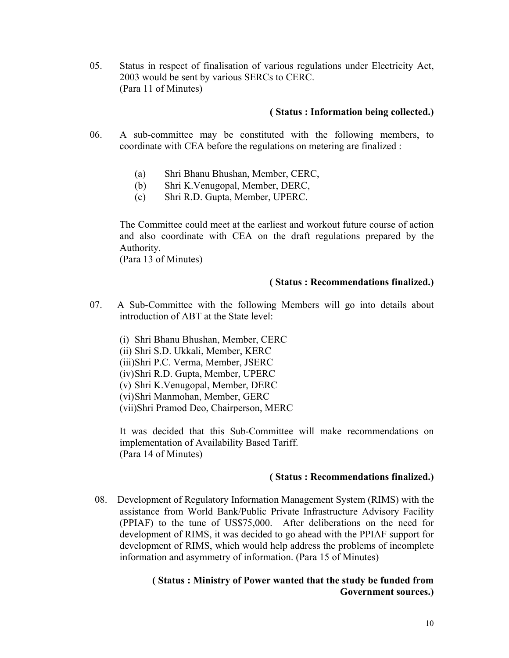05. Status in respect of finalisation of various regulations under Electricity Act, 2003 would be sent by various SERCs to CERC. (Para 11 of Minutes)

#### **( Status : Information being collected.)**

- 06. A sub-committee may be constituted with the following members, to coordinate with CEA before the regulations on metering are finalized :
	- (a) Shri Bhanu Bhushan, Member, CERC,
	- (b) Shri K.Venugopal, Member, DERC,
	- (c) Shri R.D. Gupta, Member, UPERC.

The Committee could meet at the earliest and workout future course of action and also coordinate with CEA on the draft regulations prepared by the Authority.

(Para 13 of Minutes)

#### **( Status : Recommendations finalized.)**

- 07. A Sub-Committee with the following Members will go into details about introduction of ABT at the State level:
	- (i) Shri Bhanu Bhushan, Member, CERC
	- (ii) Shri S.D. Ukkali, Member, KERC
	- (iii)Shri P.C. Verma, Member, JSERC
	- (iv)Shri R.D. Gupta, Member, UPERC
	- (v) Shri K.Venugopal, Member, DERC
	- (vi)Shri Manmohan, Member, GERC
	- (vii)Shri Pramod Deo, Chairperson, MERC

It was decided that this Sub-Committee will make recommendations on implementation of Availability Based Tariff. (Para 14 of Minutes)

#### **( Status : Recommendations finalized.)**

 08. Development of Regulatory Information Management System (RIMS) with the assistance from World Bank/Public Private Infrastructure Advisory Facility (PPIAF) to the tune of US\$75,000. After deliberations on the need for development of RIMS, it was decided to go ahead with the PPIAF support for development of RIMS, which would help address the problems of incomplete information and asymmetry of information. (Para 15 of Minutes)

#### **( Status : Ministry of Power wanted that the study be funded from Government sources.)**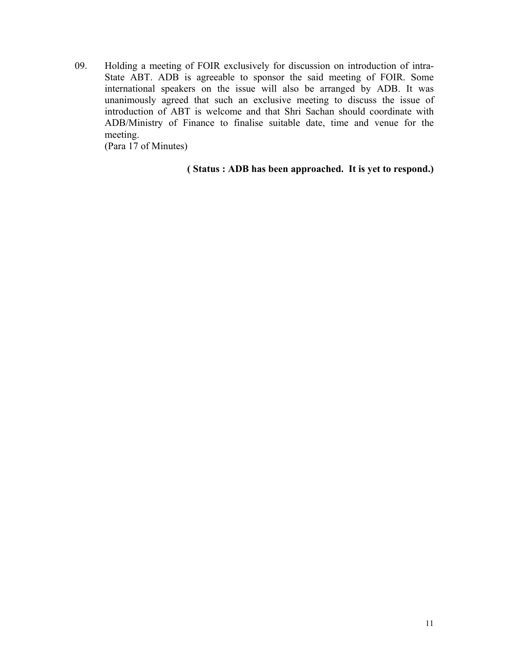09. Holding a meeting of FOIR exclusively for discussion on introduction of intra-State ABT. ADB is agreeable to sponsor the said meeting of FOIR. Some international speakers on the issue will also be arranged by ADB. It was unanimously agreed that such an exclusive meeting to discuss the issue of introduction of ABT is welcome and that Shri Sachan should coordinate with ADB/Ministry of Finance to finalise suitable date, time and venue for the meeting.

(Para 17 of Minutes)

#### **( Status : ADB has been approached. It is yet to respond.)**